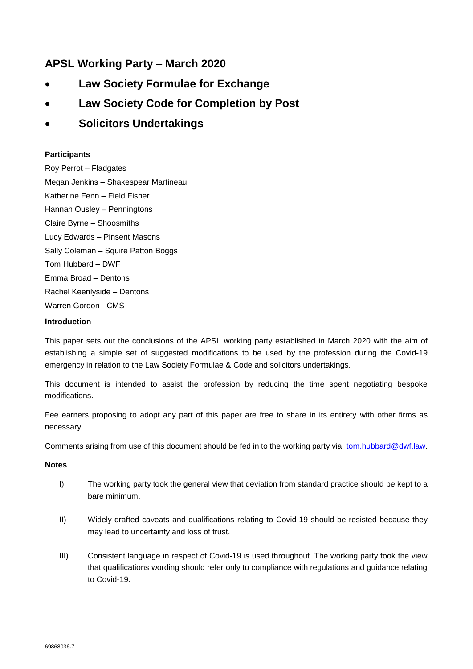# **APSL Working Party – March 2020**

- **Law Society Formulae for Exchange**
- **Law Society Code for Completion by Post**
- **Solicitors Undertakings**

## **Participants**

Roy Perrot – Fladgates Megan Jenkins – Shakespear Martineau Katherine Fenn – Field Fisher Hannah Ousley – Penningtons Claire Byrne – Shoosmiths Lucy Edwards – Pinsent Masons Sally Coleman – Squire Patton Boggs Tom Hubbard – DWF Emma Broad – Dentons Rachel Keenlyside – Dentons Warren Gordon - CMS

## **Introduction**

This paper sets out the conclusions of the APSL working party established in March 2020 with the aim of establishing a simple set of suggested modifications to be used by the profession during the Covid-19 emergency in relation to the Law Society Formulae & Code and solicitors undertakings.

This document is intended to assist the profession by reducing the time spent negotiating bespoke modifications.

Fee earners proposing to adopt any part of this paper are free to share in its entirety with other firms as necessary.

Comments arising from use of this document should be fed in to the working party via: [tom.hubbard@dwf.law.](mailto:tom.hubbard@dwf.law)

## **Notes**

- I) The working party took the general view that deviation from standard practice should be kept to a bare minimum.
- II) Widely drafted caveats and qualifications relating to Covid-19 should be resisted because they may lead to uncertainty and loss of trust.
- III) Consistent language in respect of Covid-19 is used throughout. The working party took the view that qualifications wording should refer only to compliance with regulations and guidance relating to Covid-19.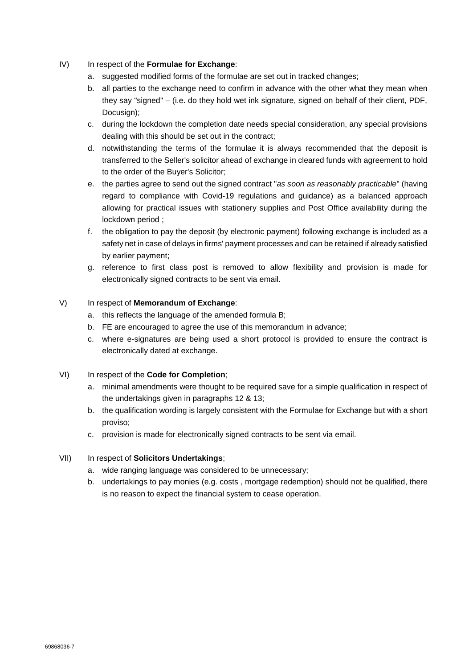## IV) In respect of the **Formulae for Exchange**:

- a. suggested modified forms of the formulae are set out in tracked changes;
- b. all parties to the exchange need to confirm in advance with the other what they mean when they say "signed" – (i.e. do they hold wet ink signature, signed on behalf of their client, PDF, Docusign);
- c. during the lockdown the completion date needs special consideration, any special provisions dealing with this should be set out in the contract;
- d. notwithstanding the terms of the formulae it is always recommended that the deposit is transferred to the Seller's solicitor ahead of exchange in cleared funds with agreement to hold to the order of the Buyer's Solicitor;
- e. the parties agree to send out the signed contract "*as soon as reasonably practicable*" (having regard to compliance with Covid-19 regulations and guidance) as a balanced approach allowing for practical issues with stationery supplies and Post Office availability during the lockdown period ;
- f. the obligation to pay the deposit (by electronic payment) following exchange is included as a safety net in case of delays in firms' payment processes and can be retained if already satisfied by earlier payment;
- g. reference to first class post is removed to allow flexibility and provision is made for electronically signed contracts to be sent via email.

## V) In respect of **Memorandum of Exchange**:

- a. this reflects the language of the amended formula B;
- b. FE are encouraged to agree the use of this memorandum in advance;
- c. where e-signatures are being used a short protocol is provided to ensure the contract is electronically dated at exchange.

## VI) In respect of the **Code for Completion**;

- a. minimal amendments were thought to be required save for a simple qualification in respect of the undertakings given in paragraphs 12 & 13;
- b. the qualification wording is largely consistent with the Formulae for Exchange but with a short proviso;
- c. provision is made for electronically signed contracts to be sent via email.

## VII) In respect of **Solicitors Undertakings**;

- a. wide ranging language was considered to be unnecessary;
- b. undertakings to pay monies (e.g. costs , mortgage redemption) should not be qualified, there is no reason to expect the financial system to cease operation.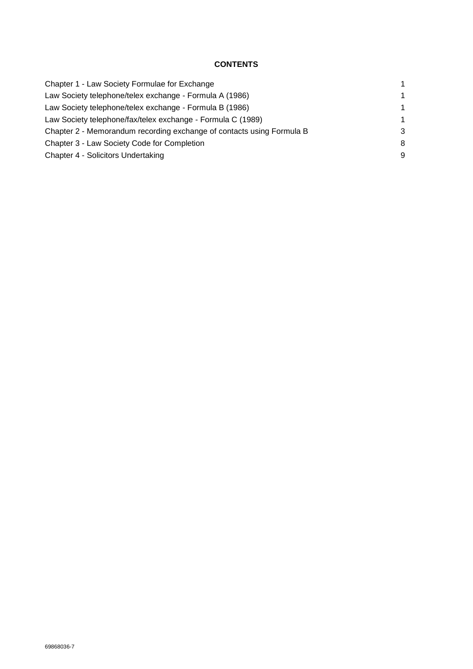## **CONTENTS**

| Chapter 1 - Law Society Formulae for Exchange                         | 1  |
|-----------------------------------------------------------------------|----|
| Law Society telephone/telex exchange - Formula A (1986)               | 1  |
| Law Society telephone/telex exchange - Formula B (1986)               | 1  |
| Law Society telephone/fax/telex exchange - Formula C (1989)           | 1  |
| Chapter 2 - Memorandum recording exchange of contacts using Formula B | 3  |
| Chapter 3 - Law Society Code for Completion                           | 8  |
| Chapter 4 - Solicitors Undertaking                                    | -9 |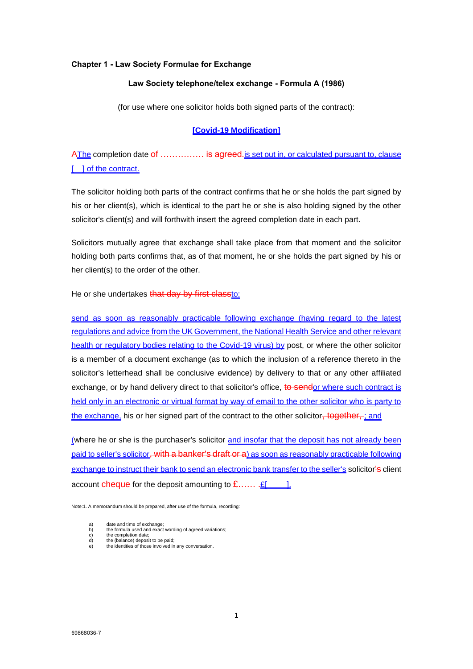#### <span id="page-3-1"></span><span id="page-3-0"></span>**Chapter 1 - Law Society Formulae for Exchange**

#### **Law Society telephone/telex exchange - Formula A (1986)**

(for use where one solicitor holds both signed parts of the contract):

#### **[Covid-19 Modification]**

AThe completion date of ................ is agreed.is set out in, or calculated pursuant to, clause [ ] of the contract.

The solicitor holding both parts of the contract confirms that he or she holds the part signed by his or her client(s), which is identical to the part he or she is also holding signed by the other solicitor's client(s) and will forthwith insert the agreed completion date in each part.

Solicitors mutually agree that exchange shall take place from that moment and the solicitor holding both parts confirms that, as of that moment, he or she holds the part signed by his or her client(s) to the order of the other.

He or she undertakes that day by first classto;

send as soon as reasonably practicable following exchange (having regard to the latest regulations and advice from the UK Government, the National Health Service and other relevant health or regulatory bodies relating to the Covid-19 virus) by post, or where the other solicitor is a member of a document exchange (as to which the inclusion of a reference thereto in the solicitor's letterhead shall be conclusive evidence) by delivery to that or any other affiliated exchange, or by hand delivery direct to that solicitor's office, to sendor where such contract is held only in an electronic or virtual format by way of email to the other solicitor who is party to the exchange, his or her signed part of the contract to the other solicitor, together, ; and

(where he or she is the purchaser's solicitor and insofar that the deposit has not already been paid to seller's solicitor, with a banker's draft or a) as soon as reasonably practicable following exchange to instruct their bank to send an electronic bank transfer to the seller's solicitor's client account cheque for the deposit amounting to  $\overline{\mathbf{\xi} \dots \xi}$  [ ].

Note:1. A memorandum should be prepared, after use of the formula, recording:

- a) date and time of exchange;<br>b) the formula used and exact<br>c) the completion date;<br>d) the (balance) deposit to be
- <span id="page-3-2"></span>the formula used and exact wording of agreed variations;
- c) the completion date;<br>d) the (balance) deposit to be paid;
- the identities of those involved in any conversation.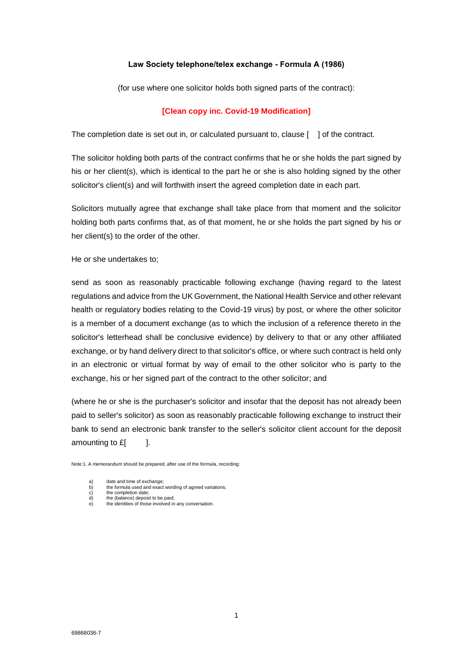#### **Law Society telephone/telex exchange - Formula A (1986)**

(for use where one solicitor holds both signed parts of the contract):

#### **[Clean copy inc. Covid-19 Modification]**

The completion date is set out in, or calculated pursuant to, clause [ ] of the contract.

The solicitor holding both parts of the contract confirms that he or she holds the part signed by his or her client(s), which is identical to the part he or she is also holding signed by the other solicitor's client(s) and will forthwith insert the agreed completion date in each part.

Solicitors mutually agree that exchange shall take place from that moment and the solicitor holding both parts confirms that, as of that moment, he or she holds the part signed by his or her client(s) to the order of the other.

He or she undertakes to;

send as soon as reasonably practicable following exchange (having regard to the latest regulations and advice from the UK Government, the National Health Service and other relevant health or regulatory bodies relating to the Covid-19 virus) by post, or where the other solicitor is a member of a document exchange (as to which the inclusion of a reference thereto in the solicitor's letterhead shall be conclusive evidence) by delivery to that or any other affiliated exchange, or by hand delivery direct to that solicitor's office, or where such contract is held only in an electronic or virtual format by way of email to the other solicitor who is party to the exchange, his or her signed part of the contract to the other solicitor; and

(where he or she is the purchaser's solicitor and insofar that the deposit has not already been paid to seller's solicitor) as soon as reasonably practicable following exchange to instruct their bank to send an electronic bank transfer to the seller's solicitor client account for the deposit amounting to £[ ].

Note:1. A memorandum should be prepared, after use of the formula, recording:

- the formula used and exact wording of agreed variations; the completion date;
- a) date and time of exchange;<br>b) the formula used and exact<br>c) the completion date;<br>d) the (balance) deposit to be the (balance) deposit to be paid;
- the identities of those involved in any conversation.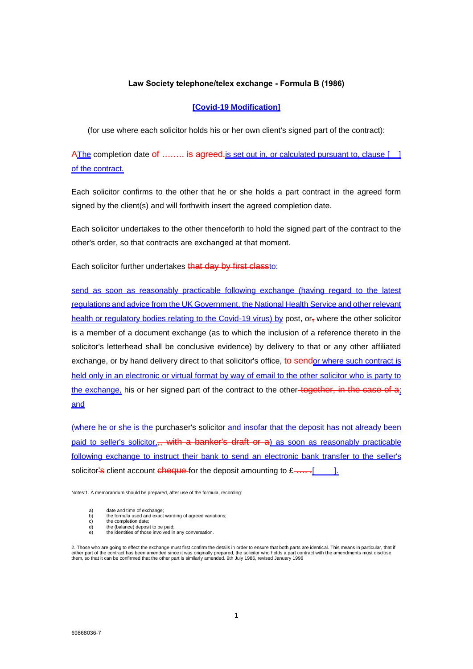#### **Law Society telephone/telex exchange - Formula B (1986)**

#### **[Covid-19 Modification]**

(for use where each solicitor holds his or her own client's signed part of the contract):

AThe completion date of ........ is agreed. is set out in, or calculated pursuant to, clause [ ] of the contract.

Each solicitor confirms to the other that he or she holds a part contract in the agreed form signed by the client(s) and will forthwith insert the agreed completion date.

Each solicitor undertakes to the other thenceforth to hold the signed part of the contract to the other's order, so that contracts are exchanged at that moment.

Each solicitor further undertakes that day by first classto:

send as soon as reasonably practicable following exchange (having regard to the latest regulations and advice from the UK Government, the National Health Service and other relevant health or regulatory bodies relating to the Covid-19 virus) by post, or, where the other solicitor is a member of a document exchange (as to which the inclusion of a reference thereto in the solicitor's letterhead shall be conclusive evidence) by delivery to that or any other affiliated exchange, or by hand delivery direct to that solicitor's office, to sendor where such contract is held only in an electronic or virtual format by way of email to the other solicitor who is party to the exchange, his or her signed part of the contract to the other together, in the case of  $a$ ; and

(where he or she is the purchaser's solicitor and insofar that the deposit has not already been paid to seller's solicitor,,, with a banker's draft or a) as soon as reasonably practicable following exchange to instruct their bank to send an electronic bank transfer to the seller's solicitor's client account cheque for the deposit amounting to £ …. .[ ].

Notes:1. A memorandum should be prepared, after use of the formula, recording:

- 
- a) date and time of exchange;<br>b) the formula used and exact<br>c) the completion date;<br>d) the (balance) deposit to be the formula used and exact wording of agreed variations; the completion date;
- 
- d) the (balance) deposit to be paid; e) the identities of those involved in any conversation.

2. Those who are going to effect the exchange must first confirm the details in order to ensure that both parts are identical. This means in particular, that if<br>either part of the contract has been amended since it was ori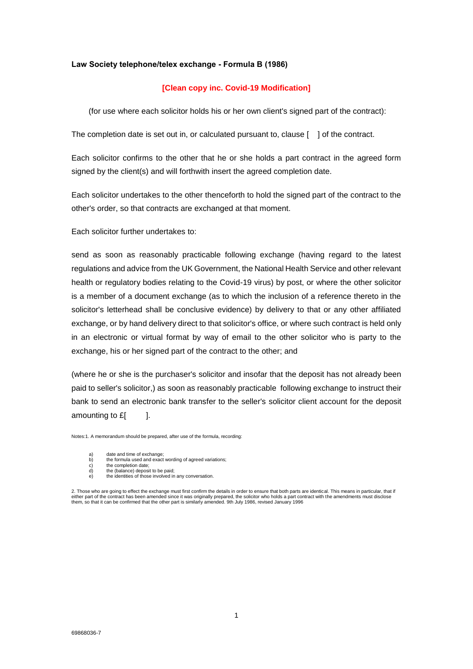#### <span id="page-6-0"></span>**Law Society telephone/telex exchange - Formula B (1986)**

#### **[Clean copy inc. Covid-19 Modification]**

(for use where each solicitor holds his or her own client's signed part of the contract):

The completion date is set out in, or calculated pursuant to, clause [ ] of the contract.

Each solicitor confirms to the other that he or she holds a part contract in the agreed form signed by the client(s) and will forthwith insert the agreed completion date.

Each solicitor undertakes to the other thenceforth to hold the signed part of the contract to the other's order, so that contracts are exchanged at that moment.

Each solicitor further undertakes to:

send as soon as reasonably practicable following exchange (having regard to the latest regulations and advice from the UK Government, the National Health Service and other relevant health or regulatory bodies relating to the Covid-19 virus) by post, or where the other solicitor is a member of a document exchange (as to which the inclusion of a reference thereto in the solicitor's letterhead shall be conclusive evidence) by delivery to that or any other affiliated exchange, or by hand delivery direct to that solicitor's office, or where such contract is held only in an electronic or virtual format by way of email to the other solicitor who is party to the exchange, his or her signed part of the contract to the other; and

(where he or she is the purchaser's solicitor and insofar that the deposit has not already been paid to seller's solicitor,) as soon as reasonably practicable following exchange to instruct their bank to send an electronic bank transfer to the seller's solicitor client account for the deposit amounting to £[ ].

Notes:1. A memorandum should be prepared, after use of the formula, recording:

- a) date and time of exchange; b) the formula used and exact wording of agreed variations;
- 
- c) the completion date;<br>d) the (balance) deposit to be paid;
- e) the identities of those involved in any conversation.

2. Those who are going to effect the exchange must first confirm the details in order to ensure that both parts are identical. This means in particular, that if either part of the contract has been amended since it was originally prepared, the solicitor who holds a part contract with the amendments must disclose<br>them, so that it can be confirmed that the other part is similarly am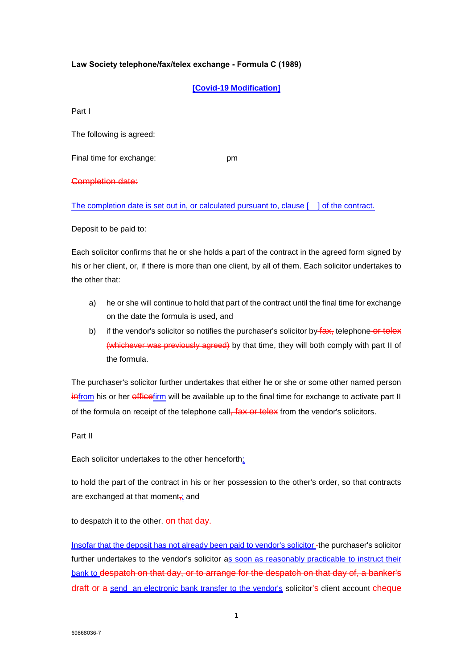## **Law Society telephone/fax/telex exchange - Formula C (1989)**

**[Covid-19 Modification]**

Part I

The following is agreed:

Final time for exchange: pm

Completion date:

The completion date is set out in, or calculated pursuant to, clause [ ] of the contract.

Deposit to be paid to:

Each solicitor confirms that he or she holds a part of the contract in the agreed form signed by his or her client, or, if there is more than one client, by all of them. Each solicitor undertakes to the other that:

- a) he or she will continue to hold that part of the contract until the final time for exchange on the date the formula is used, and
- b) if the vendor's solicitor so notifies the purchaser's solicitor by  $\frac{f_{\text{AX}}}{f}$  telephone or telex (whichever was previously agreed) by that time, they will both comply with part II of the formula.

The purchaser's solicitor further undertakes that either he or she or some other named person infrom his or her officefirm will be available up to the final time for exchange to activate part II of the formula on receipt of the telephone call, fax or telex from the vendor's solicitors.

Part II

Each solicitor undertakes to the other henceforth:

to hold the part of the contract in his or her possession to the other's order, so that contracts are exchanged at that moment<sub>7</sub>; and

to despatch it to the other. On that day.

Insofar that the deposit has not already been paid to vendor's solicitor -the purchaser's solicitor further undertakes to the vendor's solicitor as soon as reasonably practicable to instruct their bank to despatch on that day, or to arrange for the despatch on that day of, a banker's draft or a send an electronic bank transfer to the vendor's solicitor's client account cheque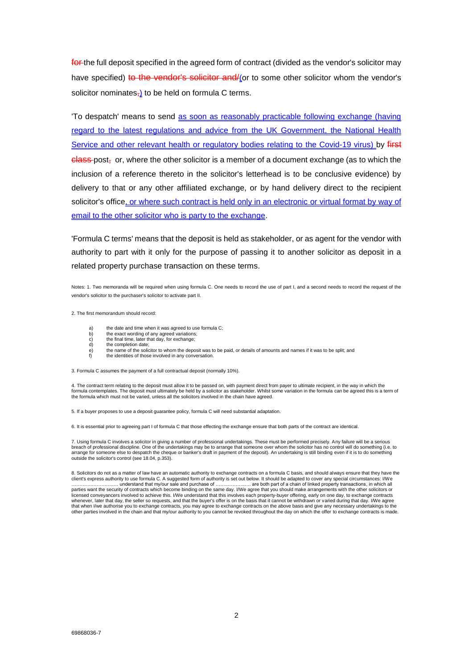for the full deposit specified in the agreed form of contract (divided as the vendor's solicitor may have specified) to the vendor's solicitor and/(or to some other solicitor whom the vendor's solicitor nominates<sub> $\overline{x}$ </sub> to be held on formula C terms.

'To despatch' means to send as soon as reasonably practicable following exchange (having regard to the latest regulations and advice from the UK Government, the National Health Service and other relevant health or regulatory bodies relating to the Covid-19 virus) by first  $\frac{1}{2}$  class-post, or, where the other solicitor is a member of a document exchange (as to which the inclusion of a reference thereto in the solicitor's letterhead is to be conclusive evidence) by delivery to that or any other affiliated exchange, or by hand delivery direct to the recipient solicitor's office, or where such contract is held only in an electronic or virtual format by way of email to the other solicitor who is party to the exchange.

'Formula C terms' means that the deposit is held as stakeholder, or as agent for the vendor with authority to part with it only for the purpose of passing it to another solicitor as deposit in a related property purchase transaction on these terms.

Notes: 1. Two memoranda will be required when using formula C. One needs to record the use of part I, and a second needs to record the request of the vendor's solicitor to the purchaser's solicitor to activate part II.

2. The first memorandum should record:

- a) the date and time when it was agreed to use formula C;<br>b) the exact wording of any agreed variations;<br>c) the final time, later that day, for exchange;
- b) the exact wording of any agreed variations; c) the final time, later that day, for exchange;
- 
- d) the completion date;<br>e) the name of the solid<br>f) the identities of those the name of the solicitor to whom the deposit was to be paid, or details of amounts and names if it was to be split; and
- the identities of those involved in any conversation.

3. Formula C assumes the payment of a full contractual deposit (normally 10%).

4. The contract term relating to the deposit must allow it to be passed on, with payment direct from payer to ultimate recipient, in the way in which the formula contemplates. The deposit must ultimately be held by a solicitor as stakeholder. Whilst some variation in the formula can be agreed this is a term of<br>the formula which must not be varied, unless all the solicitors

5. If a buyer proposes to use a deposit guarantee policy, formula C will need substantial adaptation.

6. It is essential prior to agreeing part I of formula C that those effecting the exchange ensure that both parts of the contract are identical.

7. Using formula C involves a solicitor in giving a number of professional undertakings. These must be performed precisely. Any failure will be a serious breach of professional discipline. One of the undertakings may be to arrange that someone over whom the solicitor has no control will do something (i.e. to<br>arrange for someone else to despatch the cheque or banker's draft outside the solicitor's control (see 18.04, p.353).

8. Solicitors do not as a matter of law have an automatic authority to exchange contracts on a formula C basis, and should always ensure that they have the client's express authority to use formula C. A suggested form of authority is set out below. It should be adapted to cover any special circumstances: I/We<br>……………………… understand that my/our sale and purchase of ………………… are b parties want the security of contracts which become binding on the same day. I/We agree that you should make arrangements with the other solicitors or<br>licensed conveyancers involved to achieve this. I/We understand that th whenever, later that day, the seller so requests, and that the buyer's offer is on the basis that it cannot be withdrawn or varied during that day. I/We agree that when I/we authorise you to exchange contracts, you may agree to exchange contracts on the above basis and give any necessary undertakings to the other parties involved in the chain and that my/our authority to you cannot be revoked throughout the day on which the offer to exchange contracts is made.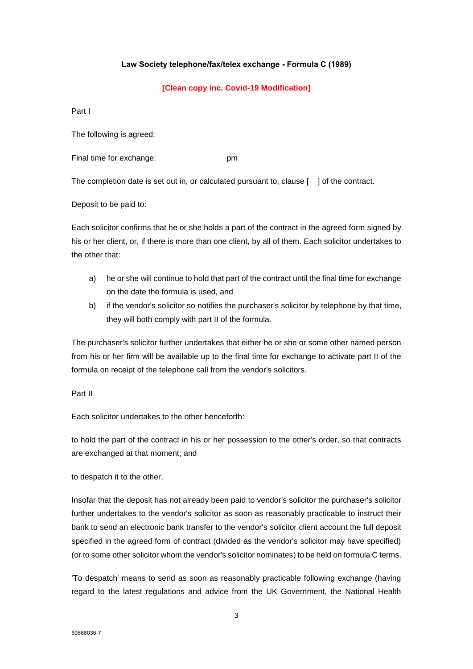## **Law Society telephone/fax/telex exchange - Formula C (1989)**

### **[Clean copy inc. Covid-19 Modification]**

<span id="page-9-0"></span>Part I

The following is agreed:

Final time for exchange: pm

The completion date is set out in, or calculated pursuant to, clause [ ] of the contract.

Deposit to be paid to:

Each solicitor confirms that he or she holds a part of the contract in the agreed form signed by his or her client, or, if there is more than one client, by all of them. Each solicitor undertakes to the other that:

- a) he or she will continue to hold that part of the contract until the final time for exchange on the date the formula is used, and
- b) if the vendor's solicitor so notifies the purchaser's solicitor by telephone by that time, they will both comply with part II of the formula.

The purchaser's solicitor further undertakes that either he or she or some other named person from his or her firm will be available up to the final time for exchange to activate part II of the formula on receipt of the telephone call from the vendor's solicitors.

#### Part II

Each solicitor undertakes to the other henceforth:

to hold the part of the contract in his or her possession to the other's order, so that contracts are exchanged at that moment; and

to despatch it to the other.

Insofar that the deposit has not already been paid to vendor's solicitor the purchaser's solicitor further undertakes to the vendor's solicitor as soon as reasonably practicable to instruct their bank to send an electronic bank transfer to the vendor's solicitor client account the full deposit specified in the agreed form of contract (divided as the vendor's solicitor may have specified) (or to some other solicitor whom the vendor's solicitor nominates) to be held on formula C terms.

'To despatch' means to send as soon as reasonably practicable following exchange (having regard to the latest regulations and advice from the UK Government, the National Health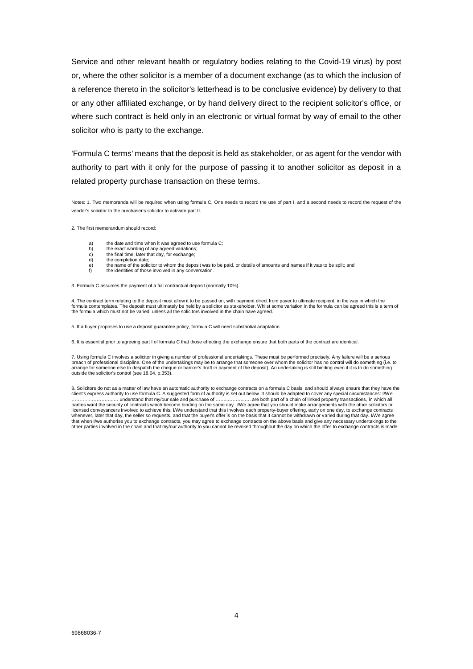Service and other relevant health or regulatory bodies relating to the Covid-19 virus) by post or, where the other solicitor is a member of a document exchange (as to which the inclusion of a reference thereto in the solicitor's letterhead is to be conclusive evidence) by delivery to that or any other affiliated exchange, or by hand delivery direct to the recipient solicitor's office, or where such contract is held only in an electronic or virtual format by way of email to the other solicitor who is party to the exchange.

'Formula C terms' means that the deposit is held as stakeholder, or as agent for the vendor with authority to part with it only for the purpose of passing it to another solicitor as deposit in a related property purchase transaction on these terms.

Notes: 1. Two memoranda will be required when using formula C. One needs to record the use of part I, and a second needs to record the request of the vendor's solicitor to the purchaser's solicitor to activate part II.

2. The first memorandum should record:

- a) the date and time when it was agreed to use formula C;<br>b) the exact wording of any agreed variations;
- the exact wording of any agreed variations;
- c) the final time, later that day, for exchange;<br>d) the completion date;
- 
- d) the completion date;<br>e) the name of the solic<br>f) the identities of those the name of the solicitor to whom the deposit was to be paid, or details of amounts and names if it was to be split; and

3. Formula C assumes the payment of a full contractual deposit (normally 10%).

the identities of those involved in any conversation.

4. The contract term relating to the deposit must allow it to be passed on, with payment direct from payer to ultimate recipient, in the way in which the formula contemplates. The deposit must ultimately be held by a solicitor as stakeholder. Whilst some variation in the formula can be agreed this is a term of the formula which must not be varied, unless all the solicitors involved in the chain have agreed.

5. If a buyer proposes to use a deposit guarantee policy, formula C will need substantial adaptation.

6. It is essential prior to agreeing part I of formula C that those effecting the exchange ensure that both parts of the contract are identical.

7. Using formula C involves a solicitor in giving a number of professional undertakings. These must be performed precisely. Any failure will be a serious breach of professional discipline. One of the undertakings may be to arrange that someone over whom the solicitor has no control will do something (i.e. to<br>arrange for someone else to despatch the cheque or banker's draft outside the solicitor's control (see 18.04, p.353).

8. Solicitors do not as a matter of law have an automatic authority to exchange contracts on a formula C basis, and should always ensure that they have the client's express authority to use formula C. A suggested form of authority is set out below. It should be adapted to cover any special circumstances: I/We<br>……………………… understand that my/our sale and purchase of ………………… are b parties want the security of contracts which become binding on the same day. I/We agree that you should make arrangements with the other solicitors or licensed conveyancers involved to achieve this. I/We understand that this involves each property-buyer offering, early on one day, to exchange contracts whenever, later that day, the seller so requests, and that the buyer's offer is on the basis that it cannot be withdrawn or varied during that day. I/We agree<br>that when I/we authorise you to exchange contracts, you may agr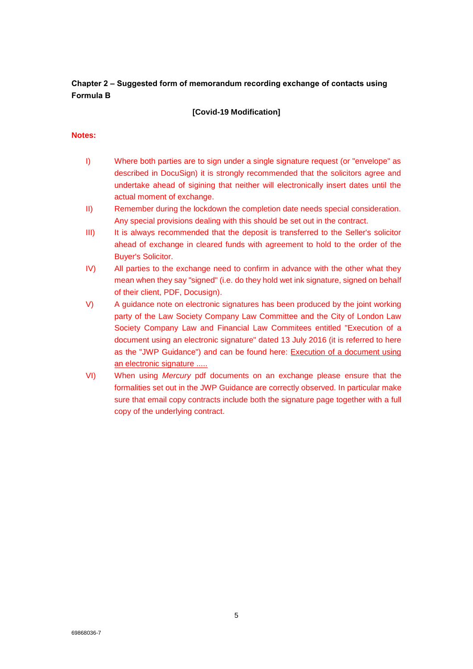# **Chapter 2 – Suggested form of memorandum recording exchange of contacts using Formula B**

## **[Covid-19 Modification]**

## **Notes:**

- I) Where both parties are to sign under a single signature request (or "envelope" as described in DocuSign) it is strongly recommended that the solicitors agree and undertake ahead of sigining that neither will electronically insert dates until the actual moment of exchange.
- II) Remember during the lockdown the completion date needs special consideration. Any special provisions dealing with this should be set out in the contract.
- III) It is always recommended that the deposit is transferred to the Seller's solicitor ahead of exchange in cleared funds with agreement to hold to the order of the Buyer's Solicitor.
- IV) All parties to the exchange need to confirm in advance with the other what they mean when they say "signed" (i.e. do they hold wet ink signature, signed on behalf of their client, PDF, Docusign).
- V) A guidance note on electronic signatures has been produced by the joint working party of the Law Society Company Law Committee and the City of London Law Society Company Law and Financial Law Commitees entitled "Execution of a document using an electronic signature" dated 13 July 2016 (it is referred to here as the "JWP Guidance") and can be found here: [Execution of a document using](https://www.lawsociety.org.uk/support-services/advice/practice-notes/execution-of-a-document-using-an-electronic-signature/)  [an electronic signature ....](https://www.lawsociety.org.uk/support-services/advice/practice-notes/execution-of-a-document-using-an-electronic-signature/).
- VI) When using *Mercury* pdf documents on an exchange please ensure that the formalities set out in the JWP Guidance are correctly observed. In particular make sure that email copy contracts include both the signature page together with a full copy of the underlying contract.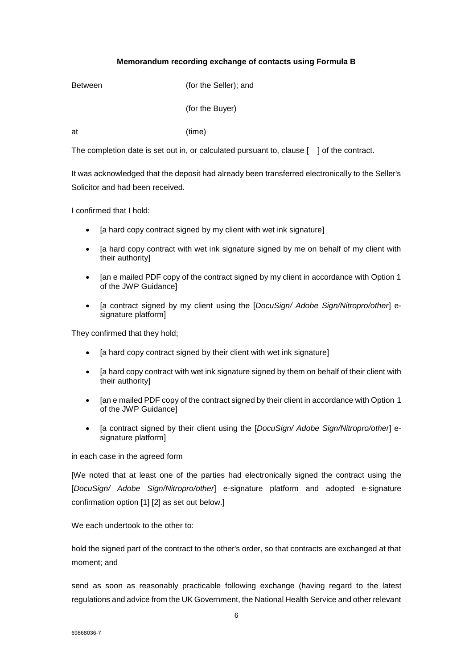## **Memorandum recording exchange of contacts using Formula B**

Between (for the Seller); and

(for the Buyer)

at (time)

The completion date is set out in, or calculated pursuant to, clause [ ] of the contract.

It was acknowledged that the deposit had already been transferred electronically to the Seller's Solicitor and had been received.

I confirmed that I hold:

- [a hard copy contract signed by my client with wet ink signature]
- I a hard copy contract with wet ink signature signed by me on behalf of my client with their authority]
- [an e mailed PDF copy of the contract signed by my client in accordance with Option 1 of the JWP Guidance]
- [a contract signed by my client using the [*DocuSign/ Adobe Sign/Nitropro/other*] esignature platform]

They confirmed that they hold;

- [a hard copy contract signed by their client with wet ink signature]
- [a hard copy contract with wet ink signature signed by them on behalf of their client with their authority]
- [an e mailed PDF copy of the contract signed by their client in accordance with Option 1 of the JWP Guidance]
- [a contract signed by their client using the [*DocuSign/ Adobe Sign/Nitropro/other*] esignature platform]

in each case in the agreed form

[We noted that at least one of the parties had electronically signed the contract using the [*DocuSign/ Adobe Sign/Nitropro/other*] e-signature platform and adopted e-signature confirmation option [1] [2] as set out below.]

We each undertook to the other to:

hold the signed part of the contract to the other's order, so that contracts are exchanged at that moment; and

send as soon as reasonably practicable following exchange (having regard to the latest regulations and advice from the UK Government, the National Health Service and other relevant

69868036-7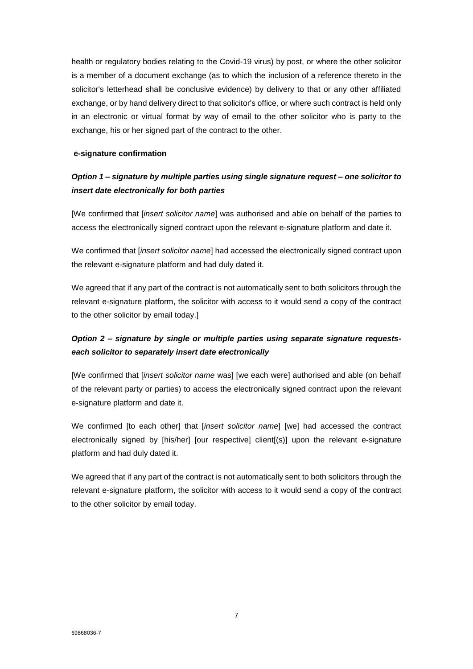health or regulatory bodies relating to the Covid-19 virus) by post, or where the other solicitor is a member of a document exchange (as to which the inclusion of a reference thereto in the solicitor's letterhead shall be conclusive evidence) by delivery to that or any other affiliated exchange, or by hand delivery direct to that solicitor's office, or where such contract is held only in an electronic or virtual format by way of email to the other solicitor who is party to the exchange, his or her signed part of the contract to the other.

### **e-signature confirmation**

# *Option 1 – signature by multiple parties using single signature request – one solicitor to insert date electronically for both parties*

[We confirmed that [*insert solicitor name*] was authorised and able on behalf of the parties to access the electronically signed contract upon the relevant e-signature platform and date it.

We confirmed that [*insert solicitor name*] had accessed the electronically signed contract upon the relevant e-signature platform and had duly dated it.

We agreed that if any part of the contract is not automatically sent to both solicitors through the relevant e-signature platform, the solicitor with access to it would send a copy of the contract to the other solicitor by email today.]

# *Option 2 – signature by single or multiple parties using separate signature requestseach solicitor to separately insert date electronically*

[We confirmed that [*insert solicitor name* was] [we each were] authorised and able (on behalf of the relevant party or parties) to access the electronically signed contract upon the relevant e-signature platform and date it.

We confirmed [to each other] that [*insert solicitor name*] [we] had accessed the contract electronically signed by [his/her] [our respective] client[(s)] upon the relevant e-signature platform and had duly dated it.

We agreed that if any part of the contract is not automatically sent to both solicitors through the relevant e-signature platform, the solicitor with access to it would send a copy of the contract to the other solicitor by email today.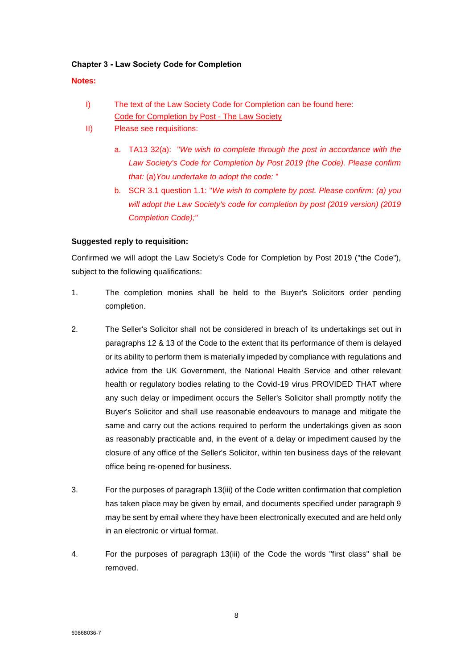### <span id="page-14-0"></span>**Chapter 3 - Law Society Code for Completion**

### **Notes:**

- I) The text of the Law Society Code for Completion can be found here: [Code for Completion by Post -](https://www.lawsociety.org.uk/support-services/advice/articles/code-for-completion-by-post/) The Law Society
- II) Please see requisitions:
	- a. TA13 32(a): "*We wish to complete through the post in accordance with the Law Society's Code for Completion by Post 2019 (the Code). Please confirm that:* (a)*You undertake to adopt the code:* "
	- b. SCR 3.1 question 1.1: "*We wish to complete by post. Please confirm: (a) you*  will adopt the Law Society's code for completion by post (2019 version) (2019 *Completion Code);"*

## **Suggested reply to requisition:**

Confirmed we will adopt the Law Society's Code for Completion by Post 2019 ("the Code"), subject to the following qualifications:

- 1. The completion monies shall be held to the Buyer's Solicitors order pending completion.
- 2. The Seller's Solicitor shall not be considered in breach of its undertakings set out in paragraphs 12 & 13 of the Code to the extent that its performance of them is delayed or its ability to perform them is materially impeded by compliance with regulations and advice from the UK Government, the National Health Service and other relevant health or regulatory bodies relating to the Covid-19 virus PROVIDED THAT where any such delay or impediment occurs the Seller's Solicitor shall promptly notify the Buyer's Solicitor and shall use reasonable endeavours to manage and mitigate the same and carry out the actions required to perform the undertakings given as soon as reasonably practicable and, in the event of a delay or impediment caused by the closure of any office of the Seller's Solicitor, within ten business days of the relevant office being re-opened for business.
- 3. For the purposes of paragraph 13(iii) of the Code written confirmation that completion has taken place may be given by email, and documents specified under paragraph 9 may be sent by email where they have been electronically executed and are held only in an electronic or virtual format.
- 4. For the purposes of paragraph 13(iii) of the Code the words "first class" shall be removed.